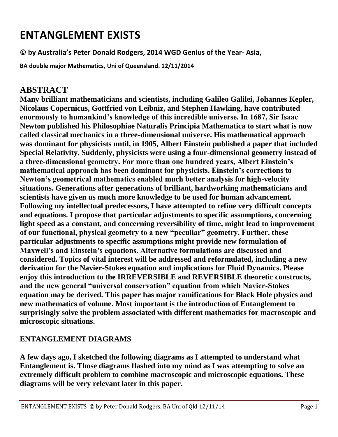# **ENTANGLEMENT EXISTS**

**© by Australia's Peter Donald Rodgers, 2014 WGD Genius of the Year- Asia,**

**BA double major Mathematics, Uni of Queensland. 12/11/2014**

### **ABSTRACT**

**Many brilliant mathematicians and scientists, including Galileo Galilei, Johannes Kepler, Nicolaus Copernicus, Gottfried von Leibniz, and Stephen Hawking, have contributed enormously to humankind's knowledge of this incredible universe. In 1687, Sir Isaac Newton published his Philosophiae Naturalis Principia Mathematica to start what is now called classical mechanics in a three-dimensional universe. His mathematical approach was dominant for physicists until, in 1905, Albert Einstein published a paper that included Special Relativity. Suddenly, physicists were using a four-dimensional geometry instead of a three-dimensional geometry. For more than one hundred years, Albert Einstein's mathematical approach has been dominant for physicists. Einstein's corrections to Newton's geometrical mathematics enabled much better analysis for high-velocity situations. Generations after generations of brilliant, hardworking mathematicians and scientists have given us much more knowledge to be used for human advancement. Following my intellectual predecessors, I have attempted to refine very difficult concepts and equations. I propose that particular adjustments to specific assumptions, concerning light speed as a constant, and concerning reversibility of time, might lead to improvement**  of our functional, physical geometry to a new "peculiar" geometry. Further, these **particular adjustments to specific assumptions might provide new formulation of Maxwell's and Einstein's equations. Alternative formulations are discussed and considered. Topics of vital interest will be addressed and reformulated, including a new derivation for the Navier-Stokes equation and implications for Fluid Dynamics. Please enjoy this introduction to the IRREVERSIBLE and REVERSIBLE theoretic constructs,**  and the new general "universal conservation" equation from which Navier-Stokes **equation may be derived. This paper has major ramifications for Black Hole physics and new mathematics of volume. Most important is the introduction of Entanglement to surprisingly solve the problem associated with different mathematics for macroscopic and microscopic situations.**

#### **ENTANGLEMENT DIAGRAMS**

**A few days ago, I sketched the following diagrams as I attempted to understand what Entanglement is. Those diagrams flashed into my mind as I was attempting to solve an extremely difficult problem to combine macroscopic and microscopic equations. These diagrams will be very relevant later in this paper.**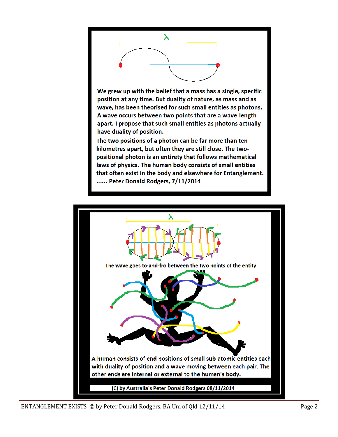

We grew up with the belief that a mass has a single, specific position at any time. But duality of nature, as mass and as wave, has been theorised for such small entities as photons. A wave occurs between two points that are a wave-length apart. I propose that such small entities as photons actually have duality of position.

The two positions of a photon can be far more than ten kilometres apart, but often they are still close. The twopositional photon is an entirety that follows mathematical laws of physics. The human body consists of small entities that often exist in the body and elsewhere for Entanglement. ...... Peter Donald Rodgers, 7/11/2014

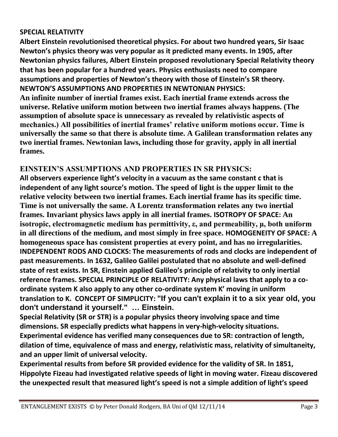#### **SPECIAL RELATIVITY**

**Albert Einstein revolutionised theoretical physics. For about two hundred years, Sir Isaac Newton's physics theory was very popular as it predicted many events. In 1905, after Newtonian physics failures, Albert Einstein proposed revolutionary Special Relativity theory that has been popular for a hundred years. Physics enthusiasts need to compare assumptions and properties of Newton's theory with those of Einstein's SR theory. NEWTON'S ASSUMPTIONS AND PROPERTIES IN NEWTONIAN PHYSICS: An infinite number of inertial frames exist. Each inertial frame extends across the universe. Relative uniform motion between two inertial frames always happens. (The assumption of absolute space is unnecessary as revealed by relativistic aspects of mechanics.) All possibilities of inertial frames' relative uniform motions occur. Time is universally the same so that there is absolute time. A Galilean transformation relates any two inertial frames. Newtonian laws, including those for gravity, apply in all inertial frames.**

#### **EINSTEIN'S ASSUMPTIONS AND PROPERTIES IN SR PHYSICS:**

**All observers experience light's velocity in a vacuum as the same constant c that is independent of any light source's motion. The speed of light is the upper limit to the relative velocity between two inertial frames. Each inertial frame has its specific time. Time is not universally the same. A Lorentz transformation relates any two inertial frames. Invariant physics laws apply in all inertial frames. ISOTROPY OF SPACE: An isotropic, electromagnetic medium has permittivity, ε, and permeability, μ, both uniform in all directions of the medium, and most simply in free space. HOMOGENEITY OF SPACE: A homogeneous space has consistent properties at every point, and has no irregularities. INDEPENDENT RODS AND CLOCKS: The measurements of rods and clocks are independent of past measurements. In 1632, Galileo Galilei postulated that no absolute and well-defined state of rest exists. In SR, Einstein applied Galileo's principle of relativity to only inertial reference frames. SPECIAL PRINCIPLE OF RELATIVITY: Any physical laws that apply to a coordinate system K also apply to any other co-ordinate system K' moving in uniform translation to K. CONCEPT OF SIMPLICITY: "If you can't explain it to a six year old, you don't understand it yourself." … Einstein.**

**Special Relativity (SR or STR) is a popular physics theory involving space and time dimensions. SR especially predicts what happens in very-high-velocity situations. Experimental evidence has verified many consequences due to SR: contraction of length, dilation of time, equivalence of mass and energy, relativistic mass, relativity of simultaneity, and an upper limit of universal velocity.** 

**Experimental results from before SR provided evidence for the validity of SR. In 1851, Hippolyte Fizeau had investigated relative speeds of light in moving water. Fizeau discovered the unexpected result that measured light's speed is not a simple addition of light's speed**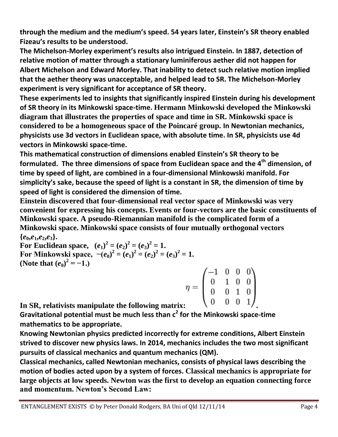**through the medium and the medium's speed. 54 years later, Einstein's SR theory enabled Fizeau's results to be understood.**

**The Michelson-Morley experiment's results also intrigued Einstein. In 1887, detection of relative motion of matter through a stationary luminiferous aether did not happen for Albert Michelson and Edward Morley. That inability to detect such relative motion implied that the aether theory was unacceptable, and helped lead to SR. The Michelson-Morley experiment is very significant for acceptance of SR theory.**

**These experiments led to insights that significantly inspired Einstein during his development of SR theory in its Minkowski space-time. Hermann Minkowski developed the Minkowski diagram that illustrates the properties of space and time in SR. Minkowski space is considered to be a homogeneous space of the Poincaré group. In Newtonian mechanics, physicists use 3d vectors in Euclidean space, with absolute time. In SR, physicists use 4d vectors in Minkowski space-time.** 

**This mathematical construction of dimensions enabled Einstein's SR theory to be formulated. The three dimensions of space from Euclidean space and the 4th dimension, of time by speed of light, are combined in a four-dimensional Minkowski manifold. For simplicity's sake, because the speed of light is a constant in SR, the dimension of time by speed of light is considered the dimension of time.**

**Einstein discovered that four-dimensional real vector space of Minkowski was very convenient for expressing his concepts. Events or four-vectors are the basic constituents of Minkowski space. A pseudo-Riemannian manifold is the complicated form of a Minkowski space. Minkowski space consists of four mutually orthogonal vectors**   ${e_0, e_1, e_2, e_3}.$ 

**For Euclidean space,**  $(e_1)^2 = (e_2)^2 = (e_3)^2 = 1$ . **For Minkowski space,**  $-(e_0)^2 = (e_1)^2 = (e_2)^2 = (e_3)^2 = 1$ . **(Note that**  $(e_0)^2 = -1.$ **)** 

| $\eta =$ |  |                                                                                                |
|----------|--|------------------------------------------------------------------------------------------------|
|          |  |                                                                                                |
|          |  | $\begin{pmatrix} -1 & 0 & 0 & 0 \ 0 & 1 & 0 & 0 \ 0 & 0 & 1 & 0 \ 0 & 0 & 0 & 1 \end{pmatrix}$ |

**In SR, relativists manipulate the following matrix: .**

**Gravitational potential must be much less than c<sup>2</sup> for the Minkowski space-time mathematics to be appropriate.** 

**Knowing Newtonian physics predicted incorrectly for extreme conditions, Albert Einstein strived to discover new physics laws. In 2014, mechanics includes the two most significant pursuits of classical mechanics and quantum mechanics (QM).**

**Classical mechanics, called Newtonian mechanics, consists of physical laws describing the motion of bodies acted upon by a system of forces. Classical mechanics is appropriate for large objects at low speeds. Newton was the first to develop an equation connecting force and momentum. Newton's Second Law:**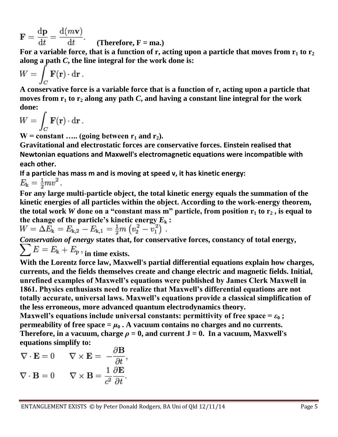**. (Therefore, <b>F** = ma.)

For a variable force, that is a function of r, acting upon a particle that moves from  $r_1$  to  $r_2$ **along a path** *C***, the line integral for the work done is:** 

$$
W = \int_C \mathbf{F}(\mathbf{r}) \cdot \mathbf{dr} .
$$

**A conservative force is a variable force that is a function of r, acting upon a particle that moves from r<sup>1</sup> to r<sup>2</sup> along any path** *C***, and having a constant line integral for the work done:** 

$$
W = \int_C \mathbf{F}(\mathbf{r}) \cdot d\mathbf{r} .
$$

 $W = constant$  ..... (going between  $r_1$  and  $r_2$ ).

**Gravitational and electrostatic forces are conservative forces. Einstein realised that Newtonian equations and Maxwell's electromagnetic equations were incompatible with each other.** 

**If a particle has mass m and is moving at speed v, it has kinetic energy:**  $E_{\rm k} = \frac{1}{2}mv^2$ .

**For any large multi-particle object, the total kinetic energy equals the summation of the kinetic energies of all particles within the object. According to the work-energy theorem, the total work** *W* **done on a "constant mass m" particle, from position**  $r_1$  **to**  $r_2$ **, is equal to** the change of the particle's kinetic energy  $E_k$ :<br>  $W = \Delta E_k = E_{k,2} - E_{k,1} = \frac{1}{2}m(v_2^2 - v_1^2)$ .

*Conservation of energy* **states that, for conservative forces, constancy of total energy,**   $\sum E = E_{\rm k} + E_{\rm p}$ , in time exists.

**With the Lorentz force law, Maxwell's partial differential equations explain how charges, currents, and the fields themselves create and change electric and magnetic fields. Initial, unrefined examples of Maxwell's equations were published by James Clerk Maxwell in 1861. Physics enthusiasts need to realize that Maxwell's differential equations are not totally accurate, universal laws. Maxwell's equations provide a classical simplification of the less erroneous, more advanced quantum electrodynamics theory.**

**Maxwell's equations include universal constants: permittivity of free space**  $=\epsilon_0$ **; permeability of free space**  $= \mu_0$ **. A vacuum contains no charges and no currents. Therefore, in a vacuum, charge**  $\rho = 0$ **, and current**  $J = 0$ **. In a vacuum, Maxwell's equations simplify to:** $\sim$ 

$$
\nabla \cdot \mathbf{E} = 0 \qquad \nabla \times \mathbf{E} = -\frac{\partial \mathbf{B}}{\partial t},
$$

$$
\nabla \cdot \mathbf{B} = 0 \qquad \nabla \times \mathbf{B} = \frac{1}{c^2} \frac{\partial \mathbf{E}}{\partial t}.
$$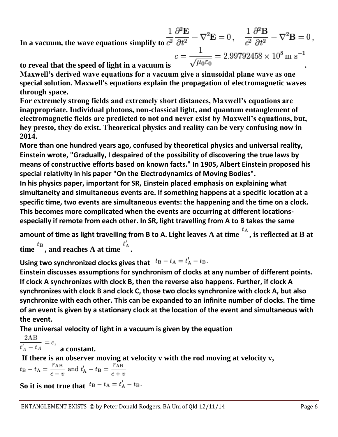In a vacuum, the wave equations simplify to  $\frac{1}{c^2} \frac{\partial^2 \mathbf{E}}{\partial t^2} - \nabla^2 \mathbf{E} = 0$ ,  $\frac{1}{c^2} \frac{\partial^2 \mathbf{B}}{\partial t^2} - \nabla^2 \mathbf{B} = 0$ , **to** reveal that the speed of light in a vacuum is  $c = \frac{1}{\sqrt{\mu_0 \varepsilon_0}} = 2.99792458 \times 10^8 \text{ m s}^{-1}$ .

**Maxwell's derived wave equations for a vacuum give a sinusoidal plane wave as one special solution. Maxwell's equations explain the propagation of electromagnetic waves through space.** 

**For extremely strong fields and extremely short distances, Maxwell's equations are inappropriate. Individual photons, non-classical light, and quantum entanglement of electromagnetic fields are predicted to not and never exist by Maxwell's equations, but, hey presto, they do exist. Theoretical physics and reality can be very confusing now in 2014.**

**More than one hundred years ago, confused by theoretical physics and universal reality, Einstein wrote, "Gradually, I despaired of the possibility of discovering the true laws by means of constructive efforts based on known facts." In 1905, Albert Einstein proposed his special relativity in his paper "On the Electrodynamics of Moving Bodies".** 

**In his physics paper, important for SR, Einstein placed emphasis on explaining what simultaneity and simultaneous events are. If something happens at a specific location at a specific time, two events are simultaneous events: the happening and the time on a clock. This becomes more complicated when the events are occurring at different locationsespecially if remote from each other. In SR, light travelling from A to B takes the same** 

amount of time as light travelling from B to A. Light leaves A at time  $\overline{t}_A$ , is reflected at B at time  $t_B$ , and reaches A at time  $t_A$ .

Using two synchronized clocks gives that  $t_B - t_A = t'_A - t_B$ .

**Einstein discusses assumptions for synchronism of clocks at any number of different points. If clock A synchronizes with clock B, then the reverse also happens. Further, if clock A synchronizes with clock B and clock C, those two clocks synchronize with clock A, but also synchronize with each other. This can be expanded to an infinite number of clocks. The time of an event is given by a stationary clock at the location of the event and simultaneous with the event.** 

**The universal velocity of light in a vacuum is given by the equation**

 $2AB$  $\frac{dA}{dt} = c$ , **a constant.** 

**If there is an observer moving at velocity v with the rod moving at velocity v,**

 $t_{\rm B} - t_{\rm A} = \frac{r_{\rm AB}}{c - v}$  and  $t'_{\rm A} - t_{\rm B} = \frac{r_{\rm AB}}{c + v}$ 

So it is not true that  $t_B - t_A = t_A' - t_B$ .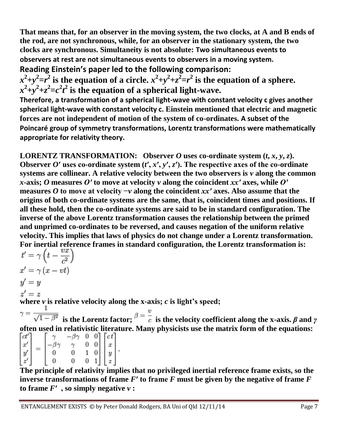**That means that, for an observer in the moving system, the two clocks, at A and B ends of the rod, are not synchronous, while, for an observer in the stationary system, the two clocks are synchronous. Simultaneity is not absolute: Two simultaneous events to observers at rest are not simultaneous events to observers in a moving system.**

**Reading Einstein's paper led to the following comparison:**  $x^2+y^2=r^2$  is the equation of a circle.  $x^2+y^2+z^2=r^2$  is the equation of a sphere.  $x^2+y^2+z^2=c^2t^2$  is the equation of a spherical light-wave.

**Therefore, a transformation of a spherical light-wave with constant velocity c gives another spherical light-wave with constant velocity c. Einstein mentioned that electric and magnetic forces are not independent of motion of the system of co-ordinates. A subset of the Poincaré group of symmetry transformations, Lorentz transformations were mathematically appropriate for relativity theory.** 

**LORENTZ TRANSFORMATION:** Observer *O* uses co-ordinate system  $(t, x, y, z)$ . **Observer** *O***<sup>** $\prime$ **</sup> uses co-ordinate system (***t'***,** *x'***,** *y'***,** *z'***). The respective axes of the co-ordinate systems are collinear. A relative velocity between the two observers is** *v* **along the common**  *x***-axis;** *O* **measures** *O′* **to move at velocity** *v* **along the coincident** *xx′* **axes, while** *O′* **measures** *O* **to move at velocity −***v* **along the coincident** *xx′* **axes. Also assume that the origins of both co-ordinate systems are the same, that is, coincident times and positions. If all these hold, then the co-ordinate systems are said to be in standard configuration. The inverse of the above Lorentz transformation causes the relationship between the primed and unprimed co-ordinates to be reversed, and causes negation of the uniform relative velocity. This implies that laws of physics do not change under a Lorentz transformation.**  For inertial reference frames in standard configuration, the Lorentz transformation is:<br> $t' = \gamma \left(t - \frac{vx}{c^2}\right)$ 

 $x' = \gamma (x - vt)$  $y' = y$  $z' = z$ where  $\nu$  is relative velocity along the x-axis;  $c$  is light's speed;

 $\gamma = \frac{1}{\sqrt{1-\beta^2}}$  is the Lorentz factor;  $\beta = \frac{v}{c}$  is the velocity coefficient along the x-axis.  $\beta$  and  $\gamma$ **often used in relativistic literature. Many physicists use the matrix form of the equations:**

$$
\begin{bmatrix} ct' \\ x' \\ y' \\ z' \end{bmatrix} = \begin{bmatrix} \gamma & -\beta\gamma & 0 & 0 \\ -\beta\gamma & \gamma & 0 & 0 \\ 0 & 0 & 1 & 0 \\ 0 & 0 & 0 & 1 \end{bmatrix} \begin{bmatrix} ct \\ x \\ y \\ z \end{bmatrix},
$$

**The principle of relativity implies that no privileged inertial reference frame exists, so the inverse transformations of frame** *F***′ to frame** *F* **must be given by the negative of frame** *F* **to frame**  $F'$ , so simply negative  $v$  :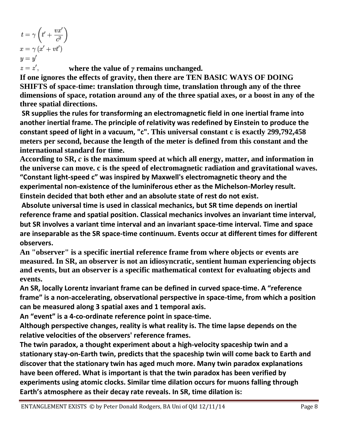$t = \gamma \left( t' + \frac{vx'}{c^2} \right)$  $x = \gamma (x' + vt')$  $y=y'$  $z=z'$ .

**where the value of** *γ* **remains unchanged.**

**If one ignores the effects of gravity, then there are TEN BASIC WAYS OF DOING SHIFTS of space-time: translation through time, translation through any of the three dimensions of space, rotation around any of the three spatial axes, or a boost in any of the three spatial directions.**

**SR supplies the rules for transforming an electromagnetic field in one inertial frame into another inertial frame. The principle of relativity was redefined by Einstein to produce the constant speed of light in a vacuum, "c". This universal constant c is exactly 299,792,458 meters per second, because the length of the meter is defined from this constant and the international standard for time.** 

**According to SR,** *c* **is the maximum speed at which all energy, matter, and information in the universe can move. c is the speed of electromagnetic radiation and gravitational waves. "Constant light-speed c" was inspired by Maxwell's electromagnetic theory and the experimental non-existence of the luminiferous ether as the Michelson-Morley result. Einstein decided that both ether and an absolute state of rest do not exist.**

**Absolute universal time is used in classical mechanics, but SR time depends on inertial reference frame and spatial position. Classical mechanics involves an invariant time interval, but SR involves a variant time interval and an invariant space-time interval. Time and space are inseparable as the SR space-time continuum. Events occur at different times for different observers.** 

**An "observer" is a specific inertial reference frame from where objects or events are measured. In SR, an observer is not an idiosyncratic, sentient human experiencing objects and events, but an observer is a specific mathematical context for evaluating objects and events.** 

**An SR, locally Lorentz invariant frame can be defined in curved space-time. A "reference frame" is a non-accelerating, observational perspective in space-time, from which a position can be measured along 3 spatial axes and 1 temporal axis.** 

**An "event" is a 4-co-ordinate reference point in space-time.** 

**Although perspective changes, reality is what reality is. The time lapse depends on the relative velocities of the observers' reference frames.** 

**The twin paradox, a thought experiment about a high-velocity spaceship twin and a stationary stay-on-Earth twin, predicts that the spaceship twin will come back to Earth and discover that the stationary twin has aged much more. Many twin paradox explanations have been offered. What is important is that the twin paradox has been verified by experiments using atomic clocks. Similar time dilation occurs for muons falling through Earth's atmosphere as their decay rate reveals. In SR, time dilation is:**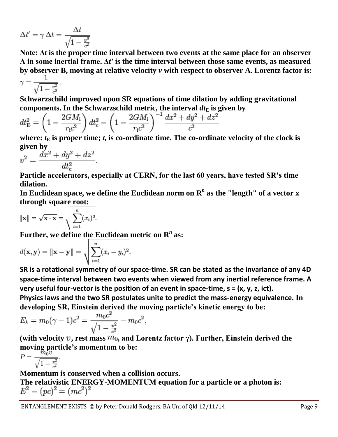$$
\Delta t' = \gamma \, \Delta t = \frac{\Delta t}{\sqrt{1 - \frac{v^2}{c^2}}}
$$

**Note: Δ***t* **is the proper time interval between two events at the same place for an observer A in some inertial frame. Δ***t'* **is the time interval between those same events, as measured by observer B, moving at relative velocity** *v* **with respect to observer A. Lorentz factor is:**

$$
\gamma = \frac{1}{\sqrt{1 - \frac{v^2}{c^2}}}.
$$

**Schwarzschild improved upon SR equations of time dilation by adding gravitational**  components. In the Schwarzschild metric, the interval  $dt_E$  is given by

$$
dt_{\rm E}^2 = \left(1 - \frac{2GM_{\rm i}}{r_{\rm i}c^2}\right)dt_{\rm c}^2 - \left(1 - \frac{2GM_{\rm i}}{r_{\rm i}c^2}\right)^{-1} \frac{dx^2 + dy^2 + dz^2}{c^2}
$$

where:  $t<sub>E</sub>$  is proper time;  $t<sub>c</sub>$  is co-ordinate time. The co-ordinate velocity of the clock is **given by** 

$$
v^2 = \frac{dx^2 + dy^2 + dz^2}{dt_c^2}.
$$

**Particle accelerators, especially at CERN, for the last 60 years, have tested SR's time dilation.**

In Euclidean space, we define the Euclidean norm on  $\mathbf{R}^n$  as the ''length'' of a vector  $\mathbf{x}$ **through square root:**

$$
\|\mathbf{x}\| = \sqrt{\mathbf{x} \cdot \mathbf{x}} = \sqrt{\sum_{i=1}^{n} (x_i)^2}.
$$

**Further, we define the Euclidean metric on R** *n* **as:**

$$
d(\mathbf{x}, \mathbf{y}) = \|\mathbf{x} - \mathbf{y}\| = \sqrt{\sum_{i=1}^{n} (x_i - y_i)^2}.
$$

**SR is a rotational symmetry of our space-time. SR can be stated as the invariance of any 4D space-time interval between two events when viewed from any inertial reference frame. A very useful four-vector is the position of an event in space-time, s = (x, y, z, ict).**

**Physics laws and the two SR postulates unite to predict the mass-energy equivalence. In developing SR, Einstein derived the moving particle's kinetic energy to be:**

$$
E_k = m_0(\gamma - 1)c^2 = \frac{m_0 c^2}{\sqrt{1 - \frac{v^2}{c^2}}} - m_0 c^2,
$$

(with velocity  $v$ , rest mass  $m_0$ , and Lorentz factor  $\gamma$ ). Further, Einstein derived the **moving particle's momentum to be:**

$$
P = \frac{m_0 v}{\sqrt{1 - \frac{v^2}{c^2}}}.
$$

**Momentum is conserved when a collision occurs.**

The relativistic ENERGY-MOMENTUM equation for a particle or a photon is:<br> $E^2 - (pc)^2 = (mc^2)^2$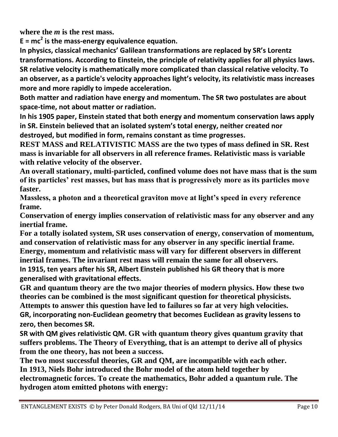**where the** *m* **is the rest mass.**

**E = mc<sup>2</sup> is the mass-energy equivalence equation.** 

**In physics, classical mechanics' Galilean transformations are replaced by SR's Lorentz transformations. According to Einstein, the principle of relativity applies for all physics laws. SR relative velocity is mathematically more complicated than classical relative velocity. To an observer, as a particle's velocity approaches light's velocity, its relativistic mass increases more and more rapidly to impede acceleration.**

**Both matter and radiation have energy and momentum. The SR two postulates are about space-time, not about matter or radiation.** 

**In his 1905 paper, Einstein stated that both energy and momentum conservation laws apply in SR. Einstein believed that an isolated system's total energy, neither created nor destroyed, but modified in form, remains constant as time progresses.**

**REST MASS and RELATIVISTIC MASS are the two types of mass defined in SR. Rest mass is invariable for all observers in all reference frames. Relativistic mass is variable with relative velocity of the observer.**

**An overall stationary, multi-particled, confined volume does not have mass that is the sum of its particles' rest masses, but has mass that is progressively more as its particles move faster.**

**Massless, a photon and a theoretical graviton move at light's speed in every reference frame.**

**Conservation of energy implies conservation of relativistic mass for any observer and any inertial frame.**

**For a totally isolated system, SR uses conservation of energy, conservation of momentum, and conservation of relativistic mass for any observer in any specific inertial frame. Energy, momentum and relativistic mass will vary for different observers in different inertial frames. The invariant rest mass will remain the same for all observers. In 1915, ten years after his SR, Albert Einstein published his GR theory that is more generalised with gravitational effects.**

**GR and quantum theory are the two major theories of modern physics. How these two theories can be combined is the most significant question for theoretical physicists. Attempts to answer this question have led to failures so far at very high velocities. GR, incorporating non-Euclidean geometry that becomes Euclidean as gravity lessens to zero, then becomes SR.**

**SR with QM gives relativistic QM. GR with quantum theory gives quantum gravity that suffers problems. The Theory of Everything, that is an attempt to derive all of physics from the one theory, has not been a success.**

**The two most successful theories, GR and QM, are incompatible with each other. In 1913, Niels Bohr introduced the Bohr model of the atom held together by electromagnetic forces. To create the mathematics, Bohr added a quantum rule. The hydrogen atom emitted photons with energy:**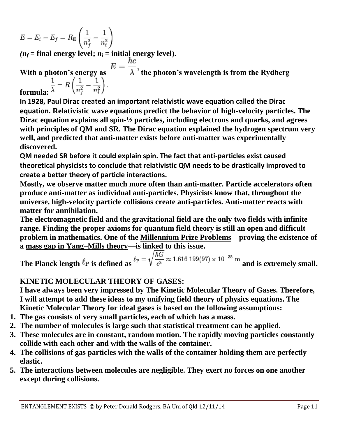$$
E = E_i - E_f = R_{\rm E} \left( \frac{1}{n_f^2} - \frac{1}{n_i^2} \right)
$$

 $(n_f = \text{final energy level}; n_i = \text{initial energy level}).$ 

With a photon's energy as  $E = \frac{hc}{\lambda}$ , the photon's wavelength is from the Rydberg **formula:**  $\frac{1}{\lambda} = R\left(\frac{1}{n_f^2} - \frac{1}{n_i^2}\right)$ .

**In 1928, Paul Dirac created an important relativistic wave equation called the Dirac equation. Relativistic wave equations predict the behavior of high-velocity particles. The Dirac equation explains all spin-½ particles, including electrons and quarks, and agrees with principles of QM and SR. The Dirac equation explained the hydrogen spectrum very well, and predicted that anti-matter exists before anti-matter was experimentally discovered.**

**QM needed SR before it could explain spin. The fact that anti-particles exist caused theoretical physicists to conclude that relativistic QM needs to be drastically improved to create a better theory of particle interactions.**

**Mostly, we observe matter much more often than anti-matter. Particle accelerators often produce anti-matter as individual anti-particles. Physicists know that, throughout the universe, high-velocity particle collisions create anti-particles. Anti-matter reacts with matter for annihilation.**

**The electromagnetic field and the gravitational field are the only two fields with infinite range. Finding the proper axioms for quantum field theory is still an open and difficult problem in mathematics. One of the [Millennium Prize Problems—](http://en.wikipedia.org/wiki/Millennium_Prize_Problems)proving the existence of a [mass gap in Yang–Mills theory—](http://en.wikipedia.org/wiki/Yang%E2%80%93Mills_existence_and_mass_gap)is linked to this issue.**

**The Planck length**  $\ell_P$  is defined as  $\ell_P = \sqrt{\frac{\hbar G}{c^3}} \approx 1.616\ 199(97) \times 10^{-35}$  m and is extremely small.

#### **KINETIC MOLECULAR THEORY OF GASES:**

**I have always been very impressed by The Kinetic Molecular Theory of Gases. Therefore, I will attempt to add these ideas to my unifying field theory of physics equations. The Kinetic Molecular Theory for ideal gases is based on the following assumptions:**

- **1. The gas consists of very small particles, each of which has a mass.**
- **2. The number of molecules is large such that statistical treatment can be applied.**
- **3. These molecules are in constant, random motion. The rapidly moving particles constantly collide with each other and with the walls of the container.**
- **4. The collisions of gas particles with the walls of the container holding them are perfectly elastic.**
- **5. The interactions between molecules are negligible. They exert no forces on one another except during collisions.**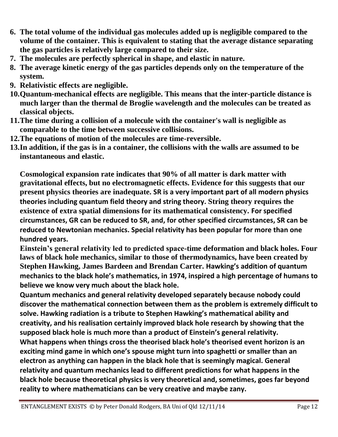- **6. The total volume of the individual gas molecules added up is negligible compared to the volume of the container. This is equivalent to stating that the average distance separating the gas particles is relatively large compared to their size.**
- **7. The molecules are perfectly spherical in shape, and elastic in nature.**
- **8. The average kinetic energy of the gas particles depends only on the temperature of the system.**
- **9. Relativistic effects are negligible.**
- **10.Quantum-mechanical effects are negligible. This means that the inter-particle distance is much larger than the thermal de Broglie wavelength and the molecules can be treated as classical objects.**
- **11.The time during a collision of a molecule with the container's wall is negligible as comparable to the time between successive collisions.**
- **12.The equations of motion of the molecules are time-reversible.**
- **13.In addition, if the gas is in a container, the collisions with the walls are assumed to be instantaneous and elastic.**

**Cosmological expansion rate indicates that 90% of all matter is dark matter with gravitational effects, but no electromagnetic effects. Evidence for this suggests that our present physics theories are inadequate. SR is a very important part of all modern physics theories including quantum field theory and string theory. String theory requires the existence of extra spatial dimensions for its mathematical consistency. For specified circumstances, GR can be reduced to SR, and, for other specified circumstances, SR can be reduced to Newtonian mechanics. Special relativity has been popular for more than one hundred years.**

**Einstein's general relativity led to predicted space-time deformation and black holes. Four laws of black hole mechanics, similar to those of thermodynamics, have been created by Stephen Hawking, James Bardeen and Brendan Carter. Hawking's addition of quantum mechanics to the black hole's mathematics, in 1974, inspired a high percentage of humans to believe we know very much about the black hole.** 

**Quantum mechanics and general relativity developed separately because nobody could discover the mathematical connection between them as the problem is extremely difficult to solve. Hawking radiation is a tribute to Stephen Hawking's mathematical ability and creativity, and his realisation certainly improved black hole research by showing that the supposed black hole is much more than a product of Einstein's general relativity. What happens when things cross the theorised black hole's theorised event horizon is an exciting mind game in which one's spouse might turn into spaghetti or smaller than an electron as anything can happen in the black hole that is seemingly magical. General relativity and quantum mechanics lead to different predictions for what happens in the black hole because theoretical physics is very theoretical and, sometimes, goes far beyond reality to where mathematicians can be very creative and maybe zany.**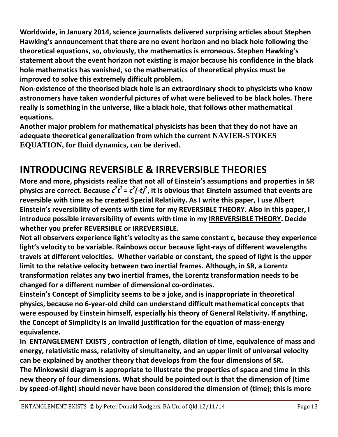**Worldwide, in January 2014, science journalists delivered surprising articles about Stephen Hawking's announcement that there are no event horizon and no black hole following the theoretical equations, so, obviously, the mathematics is erroneous. Stephen Hawking's statement about the event horizon not existing is major because his confidence in the black hole mathematics has vanished, so the mathematics of theoretical physics must be improved to solve this extremely difficult problem.** 

**Non-existence of the theorised black hole is an extraordinary shock to physicists who know astronomers have taken wonderful pictures of what were believed to be black holes. There really is something in the universe, like a black hole, that follows other mathematical equations.**

**Another major problem for mathematical physicists has been that they do not have an adequate theoretical generalization from which the current NAVIER-STOKES EQUATION, for fluid dynamics, can be derived.** 

## **INTRODUCING REVERSIBLE & IRREVERSIBLE THEORIES**

**More and more, physicists realize that not all of Einstein's assumptions and properties in SR**  physics are correct. Because  $c^2t^2 = c^2(-t)^2$ , it is obvious that Einstein assumed that events are **reversible with time as he created Special Relativity. As I write this paper, I use Albert Einstein's reversibility of events with time for my REVERSIBLE THEORY. Also in this paper, I introduce possible irreversibility of events with time in my IRREVERSIBLE THEORY. Decide whether you prefer REVERSIBLE or IRREVERSIBLE.**

**Not all observers experience light's velocity as the same constant c, because they experience light's velocity to be variable. Rainbows occur because light-rays of different wavelengths travels at different velocities. Whether variable or constant, the speed of light is the upper limit to the relative velocity between two inertial frames. Although, in SR, a Lorentz transformation relates any two inertial frames, the Lorentz transformation needs to be changed for a different number of dimensional co-ordinates.** 

**Einstein's Concept of Simplicity seems to be a joke, and is inappropriate in theoretical physics, because no 6-year-old child can understand difficult mathematical concepts that were espoused by Einstein himself, especially his theory of General Relativity. If anything, the Concept of Simplicity is an invalid justification for the equation of mass-energy equivalence.**

**In ENTANGLEMENT EXISTS , contraction of length, dilation of time, equivalence of mass and energy, relativistic mass, relativity of simultaneity, and an upper limit of universal velocity can be explained by another theory that develops from the four dimensions of SR. The Minkowski diagram is appropriate to illustrate the properties of space and time in this new theory of four dimensions. What should be pointed out is that the dimension of (time by speed-of-light) should never have been considered the dimension of (time); this is more**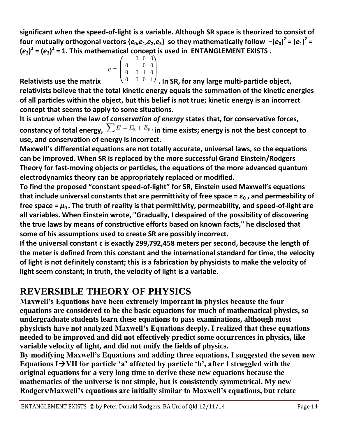**significant when the speed-of-light is a variable. Although SR space is theorized to consist of**  four mutually orthogonal vectors { $e_0,e_1,e_2,e_3$ } so they mathematically follow  $-(e_0)^2=(e_1)^2=$  $(e_2)^2 = (e_3)^2 = 1$ . This mathematical concept is used in ENTANGLEMENT EXISTS.

$$
\eta = \begin{pmatrix}\n-1 & 0 & 0 & 0 \\
0 & 1 & 0 & 0 \\
0 & 0 & 1 & 0 \\
0 & 0 & 0 & 1\n\end{pmatrix}
$$

Relativists use the matrix  $\frac{10-0.0001}{1}$  . In SR, for any large multi-particle object, **relativists believe that the total kinetic energy equals the summation of the kinetic energies of all particles within the object, but this belief is not true; kinetic energy is an incorrect concept that seems to apply to some situations.** 

**It is untrue when the law of** *conservation of energy* **states that, for conservative forces,**  constancy of total energy,  $\sum E = E_{k} + E_{p}$ , in time exists; energy is not the best concept to **use, and conservation of energy is incorrect.**

**Maxwell's differential equations are not totally accurate, universal laws, so the equations can be improved. When SR is replaced by the more successful Grand Einstein/Rodgers Theory for fast-moving objects or particles, the equations of the more advanced quantum electrodynamics theory can be appropriately replaced or modified.**

**To find the proposed "constant speed-of-light" for SR, Einstein used Maxwell's equations that include universal constants that are permittivity of free space =**  $\varepsilon_0$ **, and permeability of** free space  $= \mu_0$ . The truth of reality is that permittivity, permeability, and speed-of-light are **all variables. When Einstein wrote, "Gradually, I despaired of the possibility of discovering the true laws by means of constructive efforts based on known facts," he disclosed that some of his assumptions used to create SR are possibly incorrect.**

**If the universal constant c is exactly 299,792,458 meters per second, because the length of the meter is defined from this constant and the international standard for time, the velocity of light is not definitely constant; this is a fabrication by physicists to make the velocity of light seem constant; in truth, the velocity of light is a variable.** 

## **REVERSIBLE THEORY OF PHYSICS**

**Maxwell's Equations have been extremely important in physics because the four equations are considered to be the basic equations for much of mathematical physics, so undergraduate students learn these equations to pass examinations, although most physicists have not analyzed Maxwell's Equations deeply. I realized that these equations needed to be improved and did not effectively predict some occurrences in physics, like variable velocity of light, and did not unify the fields of physics.**

**By modifying Maxwell's Equations and adding three equations, I suggested the seven new**  Equations I<sup>></sup>VII for particle 'a' affected by particle 'b', after I struggled with the **original equations for a very long time to derive these new equations because the mathematics of the universe is not simple, but is consistently symmetrical. My new Rodgers/Maxwell's equations are initially similar to Maxwell's equations, but relate**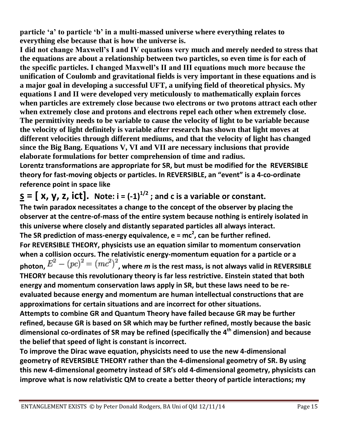**particle ‗a' to particle ‗b' in a multi-massed universe where everything relates to everything else because that is how the universe is.** 

**I did not change Maxwell's I and IV equations very much and merely needed to stress that the equations are about a relationship between two particles, so even time is for each of the specific particles. I changed Maxwell's II and III equations much more because the unification of Coulomb and gravitational fields is very important in these equations and is a major goal in developing a successful UFT, a unifying field of theoretical physics. My equations I and II were developed very meticulously to mathematically explain forces when particles are extremely close because two electrons or two protons attract each other when extremely close and protons and electrons repel each other when extremely close. The permittivity needs to be variable to cause the velocity of light to be variable because the velocity of light definitely is variable after research has shown that light moves at different velocities through different mediums, and that the velocity of light has changed since the Big Bang. Equations V, VI and VII are necessary inclusions that provide elaborate formulations for better comprehension of time and radius.** 

**Lorentz transformations are appropriate for SR, but must be modified for the REVERSIBLE theory for fast-moving objects or particles. In REVERSIBLE, an "event" is a 4-co-ordinate reference point in space like**

 $\underline{\mathbf{S}}$  **=**  $[\mathbf{X}, \mathbf{Y}, \mathbf{Z}, \mathbf{ict}]$ . Note:  $\mathbf{i} = (-1)^{1/2}$ ; and c is a variable or constant. **The twin paradox necessitates a change to the concept of the observer by placing the observer at the centre-of-mass of the entire system because nothing is entirely isolated in this universe where closely and distantly separated particles all always interact. The SR prediction of mass-energy equivalence, e = mc<sup>2</sup> , can be further refined. For REVERSIBLE THEORY, physicists use an equation similar to momentum conservation when a collision occurs. The relativistic energy-momentum equation for a particle or a**  photon,  $E_{\parallel} = (pc)_{\parallel} = (mc_{\parallel})$  , where *m* is the rest mass, is not always valid in REVERSIBLE **THEORY because this revolutionary theory is far less restrictive. Einstein stated that both energy and momentum conservation laws apply in SR, but these laws need to be reevaluated because energy and momentum are human intellectual constructions that are approximations for certain situations and are incorrect for other situations. Attempts to combine GR and Quantum Theory have failed because GR may be further refined, because GR is based on SR which may be further refined, mostly because the basic dimensional co-ordinates of SR may be refined (specifically the 4th dimension) and because the belief that speed of light is constant is incorrect.**

**To improve the Dirac wave equation, physicists need to use the new 4-dimensional geometry of REVERSIBLE THEORY rather than the 4-dimensional geometry of SR. By using this new 4-dimensional geometry instead of SR's old 4-dimensional geometry, physicists can improve what is now relativistic QM to create a better theory of particle interactions; my**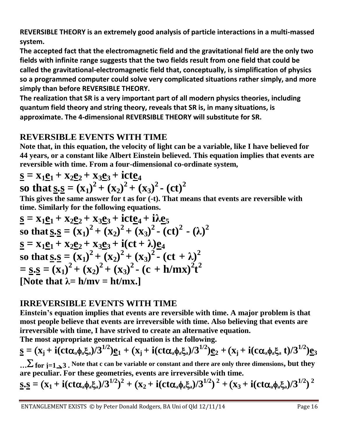**REVERSIBLE THEORY is an extremely good analysis of particle interactions in a multi-massed system.**

**The accepted fact that the electromagnetic field and the gravitational field are the only two fields with infinite range suggests that the two fields result from one field that could be called the gravitational-electromagnetic field that, conceptually, is simplification of physics so a programmed computer could solve very complicated situations rather simply, and more simply than before REVERSIBLE THEORY.** 

**The realization that SR is a very important part of all modern physics theories, including quantum field theory and string theory, reveals that SR is, in many situations, is approximate. The 4-dimensional REVERSIBLE THEORY will substitute for SR.** 

### **REVERSIBLE EVENTS WITH TIME**

**Note that, in this equation, the velocity of light can be a variable, like I have believed for 44 years, or a constant like Albert Einstein believed. This equation implies that events are reversible with time. From a four-dimensional co-ordinate system,**

$$
\underline{\mathbf{s}} = \mathbf{x}_1 \underline{\mathbf{e}}_1 + \mathbf{x}_2 \underline{\mathbf{e}}_2 + \mathbf{x}_3 \underline{\mathbf{e}}_3 + \text{ict} \underline{\mathbf{e}}_4
$$
  
so that  $\underline{\mathbf{s}} \cdot \underline{\mathbf{s}} = (\mathbf{x}_1)^2 + (\mathbf{x}_2)^2 + (\mathbf{x}_3)^2 - (\text{ct})^2$ 

**This gives the same answer for t as for (-t). That means that events are reversible with time. Similarly for the following equations.**

$$
\underline{\mathbf{s}} = \mathbf{x}_1 \underline{\mathbf{e}}_1 + \mathbf{x}_2 \underline{\mathbf{e}}_2 + \mathbf{x}_3 \underline{\mathbf{e}}_3 + \mathbf{i} \mathbf{c} \underline{\mathbf{e}}_4 + \mathbf{i} \lambda \underline{\mathbf{e}}_5
$$
\nso that  $\underline{\mathbf{s}} \cdot \underline{\mathbf{s}} = (\mathbf{x}_1)^2 + (\mathbf{x}_2)^2 + (\mathbf{x}_3)^2 - (\mathbf{c} \mathbf{t})^2 - (\lambda)^2$   
\n $\underline{\mathbf{s}} = \mathbf{x}_1 \underline{\mathbf{e}}_1 + \mathbf{x}_2 \underline{\mathbf{e}}_2 + \mathbf{x}_3 \underline{\mathbf{e}}_3 + \mathbf{i} (\mathbf{c} \mathbf{t} + \lambda) \underline{\mathbf{e}}_4$   
\nso that  $\underline{\mathbf{s}} \cdot \underline{\mathbf{s}} = (\mathbf{x}_1)^2 + (\mathbf{x}_2)^2 + (\mathbf{x}_3)^2 - (\mathbf{c} \mathbf{t} + \lambda)^2$   
\n $= \underline{\mathbf{s}} \cdot \underline{\mathbf{s}} = (\mathbf{x}_1)^2 + (\mathbf{x}_2)^2 + (\mathbf{x}_3)^2 - (\mathbf{c} + \mathbf{h}/\mathbf{m}\mathbf{x})^2 \mathbf{t}^2$   
\n[Note that  $\lambda = \mathbf{h}/\mathbf{m}\mathbf{v} = \mathbf{h}/\mathbf{m}\mathbf{x}$ .]

#### **IRREVERSIBLE EVENTS WITH TIME**

**Einstein's equation implies that events are reversible with time. A major problem is that most people believe that events are irreversible with time. Also believing that events are irreversible with time, I have strived to create an alternative equation.** 

**The most appropriate geometrical equation is the following.**

$$
\underline{s} = (x_j + i(ct\alpha_a\phi_a\xi_a)/3^{1/2})\underline{e}_1 + (x_j + i(ct\alpha_a\phi_a\xi_a)/3^{1/2})\underline{e}_2 + (x_j + i(c\alpha_a\phi_a\xi_a t)/3^{1/2})\underline{e}_3
$$

**… for j=13 . Note that c can be variable or constant and there are only three dimensions, but they are peculiar. For these geometries, events are irreversible with time.**

$$
\underline{s}.\underline{s} = (x_1 + i(ct\alpha_a\phi_a\xi_a)/3^{1/2})^2 + (x_2 + i(ct\alpha_a\phi_a\xi_a)/3^{1/2})^2 + (x_3 + i(ct\alpha_a\phi_a\xi_a)/3^{1/2})^2
$$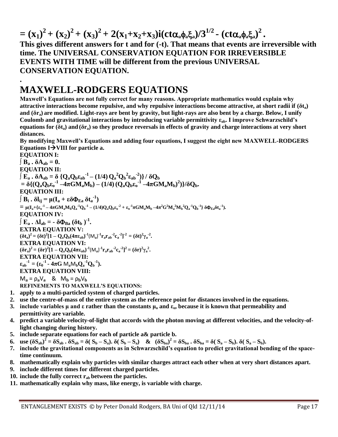$=(x_1)^2 + (x_2)^2 + (x_3)^2 + 2(x_1 + x_2 + x_3)i(ct\alpha_a\phi_a\xi_a)/3^{1/2}$  -  $(ct\alpha_a\phi_a\xi_a)^2$ . **This gives different answers for t and for (-t). That means that events are irreversible with time. The UNIVERSAL CONSERVATION EQUATION FOR IRREVERSIBLE EVENTS WITH TIME will be different from the previous UNIVERSAL CONSERVATION EQUATION.**

## **MAXWELL-RODGERS EQUATIONS**

**.**

**Maxwell's Equations are not fully correct for many reasons. Appropriate mathematics would explain why attractive interactions become repulsive, and why repulsive interactions become attractive, at short radii if (δta) and (δra) are modified. Light-rays are bent by gravity, but light-rays are also bent by a charge. Below, I unify Coulomb and gravitational interactions by introducing variable permittivity εab. I improve Schwarzschild's equations for (δta) and (δra) so they produce reversals in effects of gravity and charge interactions at very short distances.** 

**By modifying Maxwell's Equations and adding four equations, I suggest the eight new MAXWELL-RODGERS Equations IVIII for particle a.**

**EQUATION I:**  $\parallel$ **B**<sub>a</sub> **.**  $\delta$ **A**<sub>ab</sub> = 0. **EQUATION II:**  $\int E_a \cdot \delta A_{ab} = \delta \left\{ Q_a Q_b \epsilon_{ab}^{-1} - (1/4) Q_a^2 Q_b^2 \epsilon_{ab}^{-2} \right\} / \delta Q_b$  $= \delta \{ (Q_a Q_b \epsilon_0^{-1} - 4\pi G M_a M_b) - (1/4) (Q_a Q_b \epsilon_0^{-1} - 4\pi G M_a M_b)^2) \}/ \delta Q_b.$ **EQUATION III:**  $\int \mathbf{B}_i \cdot \delta \mathbf{l}_{ij} = \mu (\mathbf{I}_a + \varepsilon \delta \mathbf{\Phi}_{Ea} \delta \mathbf{t}_a^{-1})$ =  $\mu(I_a + {\epsilon_0}^{-1} - 4\pi GM_aM_bQ_a^{-1}Q_b^{-1} - (1/4)Q_aQ_b{\epsilon_0}^{-2} + {\epsilon_0}^{-1}\pi GM_aM_b - 4\pi^2G^2M_a^2M_b^2Q_a^{-1}Q_b^{-1}\}\delta\Phi_{Ea}\delta t_a^{-1}).$ **EQUATION IV:**  $\int \mathbf{E}_a \cdot \Delta \mathbf{l}_{ab} = - \delta \Phi_{Ba} (\delta \mathbf{t}_b)^{-1}$ . **EXTRA EQUATION V:**  $(\delta t_a)^2 = (\delta t)^2 [1 - Q_a Q_b (4\pi \epsilon_{ab})^{-1} (M_a)^{-1} r_a r_{ab}^{-2} c_a^{-2}]^{-2} = (\delta t)^2 \gamma_a^{-2}$ . **EXTRA EQUATION VI:**  $(\delta r_a)^2 = (\delta r)^2 [1 - Q_a Q_b (4\pi \epsilon_{ab})^{-1} (M_a)^1 r_a r_{ab}^{-2} c_a^{-2}]^2 = (\delta r)^2 \gamma_a^{-2}$ . **EXTRA EQUATION VII:**  $\varepsilon_{ab}^{-1} = (\varepsilon_0^{-1} - 4\pi G \, M_a M_b Q_a^{-1} Q_b^{-1}).$ **EXTRA EQUATION VIII:**  $M_a = \rho_a V_a$  &  $M_b = \rho_b V_b$ **REFINEMENTS TO MAXWELL'S EQUATIONS:**

- **1. apply to a multi-particled system of charged particles.**
- **2. use the centre-of-mass of the entire system as the reference point for distances involved in the equations.**
- **3. include variables μ and ε rather than the constants μ<sup>o</sup> and εo, because it is known that permeability and permittivity are variable.**
- **4. predict a variable velocity-of-light that accords with the photon moving at different velocities, and the velocity-oflight changing during history.**
- **5. include separate equations for each of particle a& particle b.**
- 6. use  $(\delta S_{ab})^2 = \delta S_{ab} \cdot \delta S_{ab} = \delta (S_b S_a) \cdot \delta (S_b S_a)$  &  $(\delta S_{ba})^2 = \delta S_{ba} \cdot \delta S_{ba} = \delta (S_a S_b) \cdot \delta (S_a S_b)$ .
- **7. include the gravitational components as in Schwarzschild's equation to predict gravitational bending of the spacetime continuum.**
- **8. mathematically explain why particles with similar charges attract each other when at very short distances apart.**
- **9. include different times for different charged particles.**
- **10. include the fully correct rab between the particles.**
- **11. mathematically explain why mass, like energy, is variable with charge.**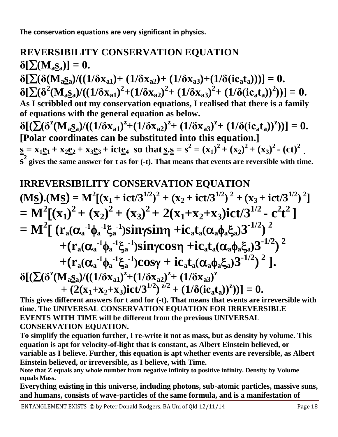**The conservation equations are very significant in physics.**

## **REVERSIBILITY CONSERVATION EQUATION**  $\delta[\Sigma(\mathbf{M}_a\mathbf{S}_a)] = 0.$  $\delta[\sum(\delta(M_{a}S_{a})/((1/\delta x_{a1})+(1/\delta x_{a2})+(1/\delta x_{a3})+(1/\delta(ic_{a}t_{a})))]=0.$  $\delta[\sum(\delta^2(M_{aS_a})/((1/\delta x_{a1})^2+(1/\delta x_{a2})^2+(1/\delta x_{a3})^2+(1/\delta (ic_a t_a))^2))]=0.$ **As I scribbled out my conservation equations, I realised that there is a family of equations with the general equation as below.**  $\delta[(\sum(\delta^z(M_{aS_a})/((1/\delta x_{a1})^z+(1/\delta x_{a2})^z+(1/\delta x_{a3})^z+(1/\delta (ic_a t_a))^z))]=0.$ **[Polar coordinates can be substituted into this equation.]**  $\underline{s} = x_1 \underline{e}_1 + x_2 \underline{e}_2 + x_3 \underline{e}_3 + \text{ict} \underline{e}_4$  so that  $\underline{s} \cdot \underline{s} = s^2 = (x_1)^2 + (x_2)^2 + (x_3)^2 - (\text{ct})^2$ .

 $\overline{\mathbf{s}}^2$  gives the same answer for t as for (-t). That means that events are reversible with time.

## **IRREVERSIBILITY CONSERVATION EQUATION**

$$
(M\underline{s}).(M\underline{s}) = M^{2}[(x_{1} + ict/3^{1/2})^{2} + (x_{2} + ict/3^{1/2})^{2} + (x_{3} + ict/3^{1/2})^{2}]
$$
  
\n
$$
= M^{2}[(x_{1})^{2} + (x_{2})^{2} + (x_{3})^{2} + 2(x_{1}+x_{2}+x_{3})ict/3^{1/2} - c^{2}t^{2}]
$$
  
\n
$$
= M^{2}[(r_{a}(\alpha_{a}^{-1}\phi_{a}^{-1}\xi_{a}^{-1})sin\gamma sin\gamma + ic_{a}t_{a}(\alpha_{a}\phi_{a}\xi_{a})3^{-1/2})^{2}
$$
  
\n
$$
+ (r_{a}(\alpha_{a}^{-1}\phi_{a}^{-1}\xi_{a}^{-1})sin\gamma cos\gamma + ic_{a}t_{a}(\alpha_{a}\phi_{a}\xi_{a})3^{-1/2})^{2}
$$
  
\n
$$
+ (r_{a}(\alpha_{a}^{-1}\phi_{a}^{-1}\xi_{a}^{-1})cos\gamma + ic_{a}t_{a}(\alpha_{a}\phi_{a}\xi_{a})3^{-1/2})^{2}].
$$
  
\n
$$
\delta[(\sum(\delta^{z}(M_{a}\underline{s}_{a})/((1/\delta x_{a1})^{z}+(1/\delta x_{a2})^{z}+(1/\delta x_{a3})^{z}) + (2(x_{1}+x_{2}+x_{3})ict/3^{1/2})^{z/2} + (1/\delta (ic_{a}t_{a}))^{z}))] = 0.
$$

**This gives different answers for t and for (-t). That means that events are irreversible with time. The UNIVERSAL CONSERVATION EQUATION FOR IRREVERSIBLE EVENTS WITH TIME will be different from the previous UNIVERSAL CONSERVATION EQUATION.**

**To simplify the equation further, I re-write it not as mass, but as density by volume. This equation is apt for velocity-of-light that is constant, as Albert Einstein believed, or variable as I believe. Further, this equation is apt whether events are reversible, as Albert Einstein believed, or irreversible, as I believe, with Time.** 

**Note that Z equals any whole number from negative infinity to positive infinity. Density by Volume equals Mass.**

**Everything existing in this universe, including photons, sub-atomic particles, massive suns, and humans, consists of wave-particles of the same formula, and is a manifestation of** 

ENTANGLEMENT EXISTS © by Peter Donald Rodgers, BA Uni of Qld 12/11/14 Page 18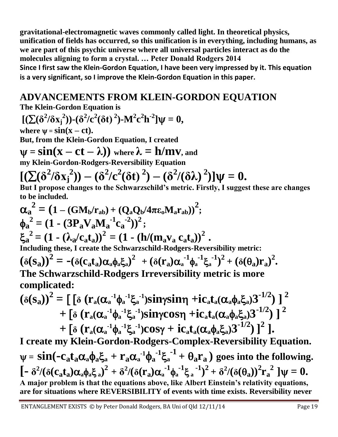**gravitational-electromagnetic waves commonly called light. In theoretical physics, unification of fields has occurred, so this unification is in everything, including humans, as we are part of this psychic universe where all universal particles interact as do the molecules aligning to form a crystal. … Peter Donald Rodgers 2014 Since I first saw the Klein-Gordon Equation, I have been very impressed by it. This equation is a very significant, so I improve the Klein-Gordon Equation in this paper.**

## **ADVANCEMENTS FROM KLEIN-GORDON EQUATION**

**The Klein-Gordon Equation is** 

$$
[(\sum(\delta^2/\delta x_j^2))-(\delta^2/c^2(\delta t)^2)-M^2c^2h^{-2}]\psi=0,
$$

where  $\psi = \sin(x - ct)$ .

**But, from the Klein-Gordon Equation, I created**

 $\Psi = \sin(x - ct - \lambda)$  where  $\lambda = h/mv$ , and

**my Klein-Gordon-Rodgers-Reversibility Equation**

$$
[(\sum(\delta^2/\delta x_j^2)) - (\delta^2/c^2(\delta t)^2) - (\delta^2/(\delta \lambda))^2] \psi = 0.
$$
  
But I represents the Schwarzschild's matrix.

**But I propose changes to the Schwarzschild's metric. Firstly, I suggest these are changes to be included.**

$$
\alpha_a^2 = (1 - (GM_b/r_{ab}) + (Q_a Q_b/4\pi \epsilon_0 M_a r_{ab}))^2;
$$
  
\n
$$
\phi_a^2 = (1 - (3P_a V_a M_a^{-1} c_a^{-2}))^2;
$$
  
\n
$$
\xi_a^2 = (1 - (\lambda_a/c_a t_a))^2 = (1 - (h/(m_a v_a c_a t_a))^2.
$$
  
\nIncluding these, I create the Schwarzschild-Rodgers-Reversibility metric:  
\n
$$
(\delta(s_a))^2 = -(\delta(c_a t_a) \alpha_a \phi_a \xi_a)^2 + (\delta(r_a) \alpha_a^{-1} \phi_a^{-1} \xi_a^{-1})^2 + (\delta(\theta_a) r_a)^2.
$$
  
\nThe Schwarzschild-Rodgers Irreversibility metric is more complicated:  
\n
$$
(\delta(s_a))^2 = \Gamma[\delta(r, (\alpha^{-1} \phi^{-1} \xi^{-1}) \sin \nu \sin \nu + i\gamma t, (\alpha \phi \xi)]^2]^{2}
$$

$$
(\delta(s_a))^2 = \left[ \left[ \delta \left( r_a (\alpha_a^{-1} \phi_a^{-1} \xi_a^{-1}) \sin \gamma \sin \gamma + i c_a t_a (\alpha_a \phi_a \xi_a) 3^{-1/2} \right) \right]^2 + \left[ \delta \left( r_a (\alpha_a^{-1} \phi_a^{-1} \xi_a^{-1}) \sin \gamma \cos \gamma + i c_a t_a (\alpha_a \phi_a \xi_a) 3^{-1/2} \right) \right]^2 + \left[ \delta \left( r_a (\alpha_a^{-1} \phi_a^{-1} \xi_a^{-1}) \cos \gamma + i c_a t_a (\alpha_a \phi_a \xi_a) 3^{-1/2} \right) \right]^2 \right].
$$

**I create my Klein-Gordon-Rodgers-Complex-Reversibility Equation.**  $\psi = sin(-c_a t_a \alpha_a \phi_a \xi_a + r_a \alpha_a^{-1} \phi_a^{-1} \xi_a^{-1} + \theta_a r_a)$  goes into the following.  $\left[-\delta^2/(\delta(c_a t_a)\alpha_a\phi_a\xi_a)^2 + \delta^2/(\delta(r_a)\alpha_a^{-1}\phi_a^{-1}\xi_a^{-1})^2 + \delta^2/(\delta(\theta_a))^2r_a^{-2}\right]\psi = 0.$ **A major problem is that the equations above, like Albert Einstein's relativity equations, are for situations where REVERSIBILITY of events with time exists. Reversibility never**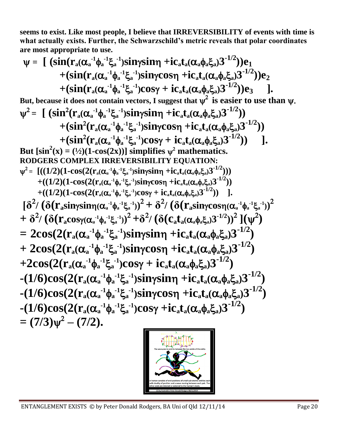**seems to exist. Like most people, I believe that IRREVERSIBILITY of events with time is what actually exists. Further, the Schwarzschild's metric reveals that polar coordinates are most appropriate to use.**

$$
\psi = \left[ \begin{array}{cc} (\sin(r_a(\alpha_a^{-1}\phi_a^{-1}\xi_a^{-1})sin\gamma sin\gamma + ic_a t_a(\alpha_a\phi_a\xi_a)3^{-1/2}) ) e_1 \\ + (\sin(r_a(\alpha_a^{-1}\phi_a^{-1}\xi_a^{-1})sin\gamma cos\eta + ic_a t_a(\alpha_a\phi_a\xi_a)3^{-1/2}) ) e_2 \\ + (\sin(r_a(\alpha_a^{-1}\phi_a^{-1}\xi_a^{-1})cos\gamma + ic_a t_a(\alpha_a\phi_a\xi_a)3^{-1/2}) ) e_3 \end{array} \right].
$$

But, because it does not contain vectors, I suggest that  $\psi^2$  is easier to use than  $\psi.$  $\psi^2 = \int (\sin^2(r_a(\alpha_a^{-1} \phi_a^{-1} \xi_a^{-1}) \sin \gamma \sin \eta + i c_a t_a(\alpha_a \phi_a \xi_a) 3^{-1/2}))$  $+ (sin^2(r_a(\alpha_a^{-1} \phi_a^{-1} \xi_a^{-1})sin\gamma cos\eta + ic_a t_a(\alpha_a \phi_a \xi_a)3^{-1/2}))$  $+(\sin^2(\mathbf{r}_a(\alpha_a^{-1}\phi_a^{-1}\xi_a^{-1})\cos\gamma + i\mathbf{c}_a\mathbf{t}_a(\alpha_a\phi_a\xi_a)\mathbf{3}^{-1/2}))$  ]. But  $[\sin^2(x) = (1/2)(1-\cos(2x))]$  simplifies  $\psi^2$  mathematics. **RODGERS COMPLEX IRREVERSIBILITY EQUATION:**  $\Psi^2 = \left[ ((1/2)(1-\cos(2(r_a(\alpha_a^{-1} \phi_a^{-1} \xi_a^{-1}) \sin \gamma \sin \eta + i c_a t_a(\alpha_a \phi_a \xi_a) 3^{-1/2})) \right]$  $+((1/2)(1-\cos(2(r_{a}(\alpha_{a}^{-1}\phi_{a}^{-1}\xi_{a}^{-1})\sin\gamma\cos\eta + ic_{a}t_{a}(\alpha_{a}\phi_{a}\xi_{a})3^{-1/2}))$  $+((1/2)(1-\cos(2(r_{a}(\alpha_{a}^{-1}\phi_{a}^{-1}\xi_{a}^{-1})\cos\gamma+i\mathbf{c}_{a}\mathbf{t}_{a}(\alpha_{a}\phi_{a}\xi_{a})3^{-1/2}))$ ].  $\left[\delta^2/\left(\delta(r_a sin \gamma sin \gamma (\alpha_a^{-1} \phi_a^{-1} \xi_a^{-1}))^2 + \delta^2/\left(\delta(r_a sin \gamma cos \gamma (\alpha_a^{-1} \phi_a^{-1} \xi_a^{-1}))^2\right)\right]$  $+\,\delta^2\!/\,(\delta(r_{\rm a} {\rm cos}\gamma(\alpha_{\rm a}^{-1}\phi_{\rm a}^{-1}\xi_{\rm a}^{-1}))^2\!+\!\delta^2\!/\,(\delta(c_{\rm a} t_{\rm a}(\alpha_{\rm a}\phi_{\rm a}\xi_{\rm a})3^{-1/2}))^2\,](\psi^2)$  $= 2cos(2(r_a(α_a^{-1}φ_a^{-1}ξ_a^{-1})sinγsinη + ic_a t_a(α_aφ_aξ_a)3^{-1/2})$  $+ 2cos(2(r_a(\alpha_a^{-1}\phi_a^{-1}\xi_a^{-1}))sin\gamma cos\eta + ic_a t_a(\alpha_a\phi_a\xi_a)3^{-1/2})$  $+2\cos(2(r_a(\alpha_a^{-1}\phi_a^{-1}\xi_a^{-1})\cos\gamma + i c_a t_a(\alpha_a\phi_a\xi_a)3^{-1/2})$  $-(1/6)\cos(2(r_a(\alpha_a^{-1}\phi_a^{-1}\xi_a^{-1})\sin\gamma\sin\eta + i c_a t_a(\alpha_a\phi_a\xi_a)3^{-1/2})$  $-(1/6)\cos(2(r_a(\alpha_a^{-1}\phi_a^{-1}\xi_a^{-1})\sin\gamma\cos\eta + i c_a t_a(\alpha_a\phi_a\xi_a)3^{-1/2})$  $-(1/6)\cos(2(r_a(\alpha_a^{-1}\phi_a^{-1}\xi_a^{-1})\cos\gamma + ic_a t_a(\alpha_a\phi_a\xi_a)3^{-1/2})$  $= (7/3)\psi^2 - (7/2).$ 



ENTANGLEMENT EXISTS © by Peter Donald Rodgers, BA Uni of Qld 12/11/14 Page 20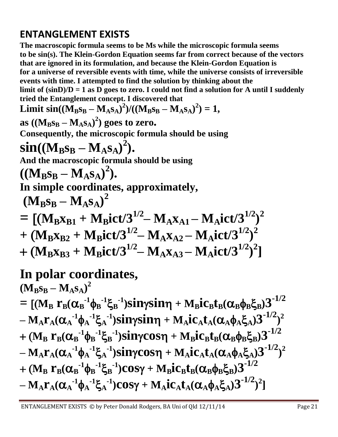## **ENTANGLEMENT EXISTS**

**The macroscopic formula seems to be Ms while the microscopic formula seems to be sin(s). The Klein-Gordon Equation seems far from correct because of the vectors that are ignored in its formulation, and because the Klein-Gordon Equation is for a universe of reversible events with time, while the universe consists of irreversible events with time. I attempted to find the solution by thinking about the limit of (sinD)/D = 1 as D goes to zero. I could not find a solution for A until I suddenly tried the Entanglement concept. I discovered that Limit sin**( $(M_Bs_B - M_As_A)^2$ )/( $(M_Bs_B - M_As_A)^2$ ) = 1,  $\mathbf{a} \mathbf{s} \left( (\mathbf{M}_{\mathbf{B}} \mathbf{s}_{\mathbf{B}} - \mathbf{M}_{\mathbf{A}} \mathbf{s}_{\mathbf{A}})^2)$  goes to zero. **Consequently, the microscopic formula should be using**   $\sin((M_B s_B - M_A s_A)^2)$ . **And the macroscopic formula should be using**   $((M_B s_B - M_A s_A)^2).$ **In simple coordinates, approximately,**  $(M_B s_B - M_A s_A)^2$  $=$   $[$   $(M_Bx_{B1} + M_Bict/3^{1/2} - M_Ax_{A1} - M_Aict/3^{1/2})^2$  $+$   $({\bf M_Bx_{B2}} + {\bf M_Bict/3}^{1/2} - {\bf M_Ax_{A2}} - {\bf M_Aict/3}^{1/2})^2$  $+ (M_Bx_{B3} + M_Bict/3^{1/2} - M_Ax_{A3} - M_Aict/3^{1/2})^2$ **In polar coordinates,**

 $(\mathbf{M}_{\mathbf{B}}\mathbf{S}_{\mathbf{B}} - \mathbf{M}_{\mathbf{A}}\mathbf{S}_{\mathbf{A}})^2$  $= [(M_B~r_B(\alpha_B^{-1} \phi_B^{-1} \xi_B^{-1})sin\gamma sin\eta + M_Bic_Bt_B(\alpha_B \phi_B \xi_B) 3^{-1/2}]$  $-M_A r_A (\alpha_A^{-1} \phi_A^{-1} \xi_A^{-1}) sin\gamma sin\eta + M_A ic_A t_A (\alpha_A \phi_A \xi_A) 3^{-1/2})^2$ + (M<sub>B</sub> r<sub>B</sub>( $\alpha_B$ <sup>-1</sup>φ<sub>B</sub><sup>-1</sup>ξ<sub>B</sub><sup>-1</sup>)sinγcosη + M<sub>B</sub>ic<sub>B</sub>t<sub>B</sub>( $\alpha_B$ φ<sub>B</sub>ξ<sub>B</sub>)3<sup>-1/2</sup>  $-M_A r_A (\alpha_A^{-1} \phi_A^{-1} \xi_A^{-1}) sin \gamma cos \eta + M_A ic_A t_A (\alpha_A \phi_A \xi_A) 3^{-1/2})^2$ + (M<sub>B</sub> r<sub>B</sub>( $\alpha_B$ <sup>-1</sup>φ<sub>B</sub><sup>-1</sup>ξ<sub>B</sub><sup>-1</sup>)cosγ + M<sub>B</sub>ic<sub>B</sub>t<sub>B</sub>( $\alpha_B$ φ<sub>B</sub>ξ<sub>B</sub>)3<sup>-1/2</sup>  $-\mathbf{M}_{\mathrm{A}}\mathbf{r}_{\mathrm{A}}(\alpha_{\mathrm{A}}^{-1}\phi_{\mathrm{A}}^{-1}\xi_{\mathrm{A}}^{-1})\mathrm{Cos}\gamma+\mathbf{M}_{\mathrm{A}}\mathrm{i}\mathrm{c}_{\mathrm{A}}\mathbf{t}_{\mathrm{A}}(\alpha_{\mathrm{A}}\phi_{\mathrm{A}}\xi_{\mathrm{A}})\mathbf{3}^{-1/2})^{2}]$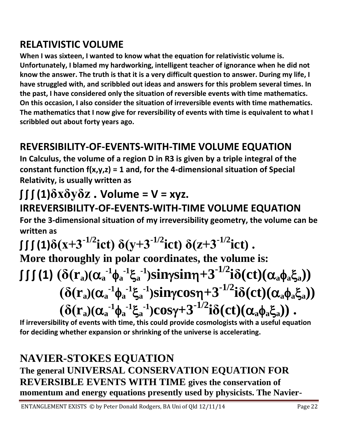## **RELATIVISTIC VOLUME**

**When I was sixteen, I wanted to know what the equation for relativistic volume is. Unfortunately, I blamed my hardworking, intelligent teacher of ignorance when he did not know the answer. The truth is that it is a very difficult question to answer. During my life, I have struggled with, and scribbled out ideas and answers for this problem several times. In the past, I have considered only the situation of reversible events with time mathematics. On this occasion, I also consider the situation of irreversible events with time mathematics. The mathematics that I now give for reversibility of events with time is equivalent to what I scribbled out about forty years ago.**

# **REVERSIBILITY-OF-EVENTS-WITH-TIME VOLUME EQUATION**

**In Calculus, the volume of a region D in R3 is given by a triple integral of the constant function f(x,y,z) = 1 and, for the 4-dimensional situation of Special Relativity, is usually written as** 

# $\iint (1)\delta x \delta y \delta z$ . Volume = V = xyz.

## **IRREVERSIBILITY-OF-EVENTS-WITH-TIME VOLUME EQUATION For the 3-dimensional situation of my irreversibility geometry, the volume can be written as**

 $\int \int \int (1)\delta(x+3^{-1/2})dx$  **i**  $\delta(y+3^{-1/2})dx$  **i**  $\delta(z+3^{-1/2})dx$  **. More thoroughly in polar coordinates, the volume is:** *f J* **(i)**  $(\delta(\mathbf{r}_{\mathbf{a}})(\alpha_{\mathbf{a}}^{-1}\phi_{\mathbf{a}}^{-1}\xi_{\mathbf{a}}^{-1})\sin\gamma\sin\eta+3^{-1/2}i\delta(\text{ct})(\alpha_{\mathbf{a}}\phi_{\mathbf{a}}\xi_{\mathbf{a}}))$  $(\delta(r_a)(\alpha_a^{-1}\phi_a^{-1}\xi_a^{-1})sin\gamma cos\eta+3^{-1/2}i\delta(ct)(\alpha_a\phi_a\xi_a))$  $(\delta(r_a)(\alpha_a^{-1}\phi_a^{-1}\xi_a^{-1})cos\gamma+3^{-1/2}i\delta(ct)(\alpha_a\phi_a\xi_a))$ .

**If irreversibility of events with time, this could provide cosmologists with a useful equation for deciding whether expansion or shrinking of the universe is accelerating.**

## **NAVIER-STOKES EQUATION The general UNIVERSAL CONSERVATION EQUATION FOR REVERSIBLE EVENTS WITH TIME gives the conservation of momentum and energy equations presently used by physicists. The Navier-**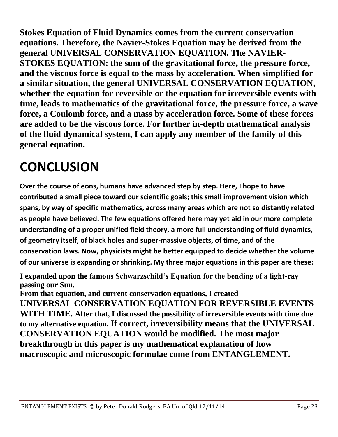**Stokes Equation of Fluid Dynamics comes from the current conservation equations. Therefore, the Navier-Stokes Equation may be derived from the general UNIVERSAL CONSERVATION EQUATION. The NAVIER-STOKES EQUATION: the sum of the gravitational force, the pressure force, and the viscous force is equal to the mass by acceleration. When simplified for a similar situation, the general UNIVERSAL CONSERVATION EQUATION, whether the equation for reversible or the equation for irreversible events with time, leads to mathematics of the gravitational force, the pressure force, a wave force, a Coulomb force, and a mass by acceleration force. Some of these forces are added to be the viscous force. For further in-depth mathematical analysis of the fluid dynamical system, I can apply any member of the family of this general equation.**

# **CONCLUSION**

**Over the course of eons, humans have advanced step by step. Here, I hope to have contributed a small piece toward our scientific goals; this small improvement vision which spans, by way of specific mathematics, across many areas which are not so distantly related as people have believed. The few equations offered here may yet aid in our more complete understanding of a proper unified field theory, a more full understanding of fluid dynamics, of geometry itself, of black holes and super-massive objects, of time, and of the conservation laws. Now, physicists might be better equipped to decide whether the volume of our universe is expanding or shrinking. My three major equations in this paper are these:**

**I expanded upon the famous Schwarzschild's Equation for the bending of a light-ray passing our Sun.**

**From that equation, and current conservation equations, I created UNIVERSAL CONSERVATION EQUATION FOR REVERSIBLE EVENTS WITH TIME. After that, I discussed the possibility of irreversible events with time due to my alternative equation. If correct, irreversibility means that the UNIVERSAL CONSERVATION EQUATION would be modified. The most major breakthrough in this paper is my mathematical explanation of how macroscopic and microscopic formulae come from ENTANGLEMENT.**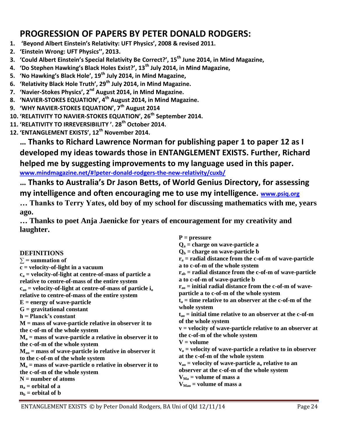#### **PROGRESSION OF PAPERS BY PETER DONALD RODGERS:**

- **1. 'Beyond Albert Einstein's Relativity: UFT Physics', 2008 & revised 2011.**
- **2. 'Einstein Wrong: UFT Physics'', 2013.**
- **3. 'Could Albert Einstein's Special Relativity Be Correct?', 15th June 2014, in Mind Magazine,**
- **4. 'Do Stephen Hawking's Black Holes Exist?', 13th July 2014, in Mind Magazine,**
- **5. 'No Hawking's Black Hole', 19th July 2014, in Mind Magazine,**
- **6. 'Relativity Black Hole Truth', 29th July 2014, in Mind Magazine.**
- **7. 'Navier-Stokes Physics', 2nd August 2014, in Mind Magazine.**
- **8. 'NAVIER-STOKES EQUATION', 4th August 2014, in Mind Magazine.**
- **9. 'WHY NAVIER-STOKES EQUATION', 7th August 2014**
- **10. 'RELATIVITY TO NAVIER-STOKES EQUATION', 26th September 2014.**
- **11. 'RELATIVITY TO IRREVERSIBILITY '. 28th October 2014.**
- **12. 'ENTANGLEMENT EXISTS', 12th November 2014.**

**… Thanks to Richard Lawrence Norman for publishing paper 1 to paper 12 as I developed my ideas towards those in ENTANGLEMENT EXISTS. Further, Richard helped me by suggesting improvements to my language used in this paper. [www.mindmagazine.net/#!peter-donald-rodgers-the-new-relativity/cuxb/](http://www.mindmagazine.net/#!peter-donald-rodgers-the-new-relativity/cuxb/)**

**… Thanks to Australia's Dr Jason Betts, of World Genius Directory, for assessing** 

**my intelligence and often encouraging me to use my intelligence. [www.psiq.org](http://www.psiq.org/)**

**… Thanks to Terry Yates, old boy of my school for discussing mathematics with me, years ago.**

**… Thanks to poet Anja Jaenicke for years of encouragement for my creativity and laughter.**

|                                                                               | $P = pressure$                                                       |
|-------------------------------------------------------------------------------|----------------------------------------------------------------------|
|                                                                               | $Q_a$ = charge on wave-particle a                                    |
| <b>DEFINITIONS</b>                                                            | $Q_b$ = charge on wave-particle b                                    |
| $\Sigma$ = summation of                                                       | $r_a$ = radial distance from the c-of-m of wave-particle             |
| $c = velocity-of-light in a vacuum$                                           | a to c-of-m of the whole system                                      |
| $c_a$ = velocity-of-light at centre-of-mass of particle a                     | $r_{ab}$ = radial distance from the c-of-m of wave-particle          |
| relative to centre-of-mass of the entire system                               | a to c-of-m of wave-particle b                                       |
| $c_{\rm ao}$ = velocity-of-light at centre-of-mass of particle i <sub>0</sub> | $r_{\text{ao}}$ = initial radial distance from the c-of-m of wave-   |
| relative to centre-of-mass of the entire system                               | particle a to c-of-m of the whole system                             |
| $E = energy of wave-particle$                                                 | $t_a$ = time relative to an observer at the c-of-m of the            |
| $G =$ gravitational constant                                                  | whole system                                                         |
| $h = Planck's constant$                                                       | $t_{\text{ao}}$ = initial time relative to an observer at the c-of-m |
| $M =$ mass of wave-particle relative in observer it to                        | of the whole system                                                  |
| the c-of-m of the whole system                                                | $v =$ velocity of wave-particle relative to an observer at           |
| $M_a$ = mass of wave-particle a relative in observer it to                    | the c-of-m of the whole system                                       |
| the c-of-m of the whole system                                                | $V = volume$                                                         |
| $M_{ao}$ = mass of wave-particle io relative in observer it                   | $v_a$ = velocity of wave-particle a relative to in observer          |
| to the c-of-m of the whole system                                             | at the c-of-m of the whole system                                    |
| $M_0$ = mass of wave-particle o relative in observer it to                    | $v_{ao}$ = velocity of wave-particle $a_o$ relative to an            |
| the c-of-m of the whole system                                                | observer at the c-of-m of the whole system                           |
| $N =$ number of atoms                                                         | $V_{Ma}$ = volume of mass a                                          |
| $n_a$ = orbital of a                                                          | $V_{Mao}$ = volume of mass a                                         |
| $n_b$ = orbital of b                                                          |                                                                      |
|                                                                               |                                                                      |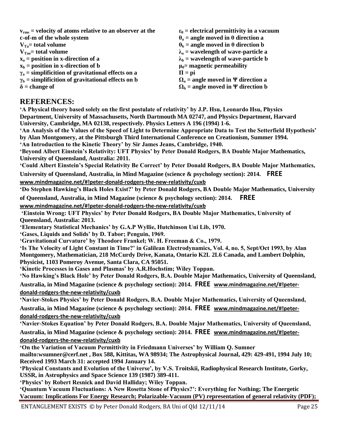**vrms = velocity of atoms relative to an observer at the c-of-m of the whole system VTa= total volume VTao= total volume x<sup>a</sup> = position in x-direction of a**  $x<sub>b</sub>$  = position in x-direction of b **γ<sup>a</sup> = simplificition of gravitational effects on a**  $\gamma_b$  = simplificition of gravitational effects on **b δ = change of ε<sup>0</sup> = electrical permittivity in a vacuum θ<sup>a</sup> = angle moved in θ direction a θ<sup>b</sup> = angle moved in θ direction b**  $\lambda$ <sup>a</sup> = wavelength of wave-particle a  $\lambda$ **b** = wavelength of wave-particle b **μ0= magnetic permeability**  $\Pi = \pi$ **i**  $\Omega$ <sub>a</sub> = angle moved in Ψ direction a  $\Omega_b$  = angle moved in Ψ direction b

#### **REFERENCES:**

**‗A Physical theory based solely on the first postulate of relativity' by J.P. Hsu, Leonardo Hsu, Physics Department, University of Massachusetts, North Dartmouth MA 02747, and Physics Department, Harvard University, Cambridge, MA 02138, respectively. Physics Letters A 196 (1994) 1-6.**

**‗An Analysis of the Values of the Speed of Light to Determine Appropriate Data to Test the Setterfield Hypothesis' by Alan Montgomery, at the Pittsburgh Third International Conference on Creationism, Summer 1994. ‗An Introduction to the Kinetic Theory' by Sir James Jeans, Cambridge, 1940.**

**‗Beyond Albert Einstein's Relativity: UFT Physics' by Peter Donald Rodgers, BA Double Major Mathematics, University of Queensland, Australia: 2011.** 

**‗Could Albert Einstein's Special Relativity Be Correct' by Peter Donald Rodgers, BA Double Major Mathematics,** 

**University of Queensland, Australia, in Mind Magazine (science & psychology section): 2014. FREE [www.mindmagazine.net/#!peter-donald-rodgers-the-new-relativity/cuxb](http://www.mindmagazine.net/#!peter-donald-rodgers-the-new-relativity/cuxb)**

**‗Do Stephen Hawking's Black Holes Exist?' by Peter Donald Rodgers, BA Double Major Mathematics, University of Queensland, Australia, in Mind Magazine (science & psychology section): 2014. FREE** 

**[www.mindmagazine.net/#!peter-donald-rodgers-the-new-relativity/cuxb](http://www.mindmagazine.net/#!peter-donald-rodgers-the-new-relativity/cuxb)**

**‗Einstein Wrong: UFT Physics' by Peter Donald Rodgers, BA Double Major Mathematics, University of Queensland, Australia: 2013.** 

**‗Elementary Statistical Mechanics' by G.A.P Wyllie, Hutchinson Uni Lib, 1970.**

**‗Gases, Liquids and Solids' by D. Tabor; Penguin, 1969.**

**‗Gravitational Curvature' by Theodore Frankel; W. H. Freeman & Co., 1979.** 

**‗Is The Velocity of Light Constant in Time?' in Galilean Electrodynamics, Vol. 4, no. 5, Sept/Oct 1993, by Alan Montgomery, Mathematician, 218 McCurdy Drive, Kanata, Ontario K2L 2L6 Canada, and Lambert Dolphin, Physicist, 1103 Pomeroy Avenue, Santa Clara, CA 95051.**

**‗Kinetic Processes in Gases and Plasmas' by A.R.Hochstim; Wiley Toppan.**

**‗No Hawking's Black Hole' by Peter Donald Rodgers, B.A. Double Major Mathematics, University of Queensland, Australia, in Mind Magazine (science & psychology section): 2014. FREE [www.mindmagazine.net/#!peter](http://www.mindmagazine.net/#!peter-donald-rodgers-the-new-relativity/cuxb)[donald-rodgers-the-new-relativity/cuxb](http://www.mindmagazine.net/#!peter-donald-rodgers-the-new-relativity/cuxb)**

**‗Navier-Stokes Physics' by Peter Donald Rodgers, B.A. Double Major Mathematics, University of Queensland, Australia, in Mind Magazine (science & psychology section): 2014. FREE [www.mindmagazine.net/#!peter](http://www.mindmagazine.net/#!peter-donald-rodgers-the-new-relativity/cuxb)[donald-rodgers-the-new-relativity/cuxb](http://www.mindmagazine.net/#!peter-donald-rodgers-the-new-relativity/cuxb)**

**‗Navier-Stokes Equation' by Peter Donald Rodgers, B.A. Double Major Mathematics, University of Queensland, Australia, in Mind Magazine (science & psychology section): 2014. FREE [www.mindmagazine.net/#!peter](http://www.mindmagazine.net/#!peter-donald-rodgers-the-new-relativity/cuxb)[donald-rodgers-the-new-relativity/cuxb](http://www.mindmagazine.net/#!peter-donald-rodgers-the-new-relativity/cuxb)**

**‗On the Variation of Vacuum Permittivity in Friedmann Universes' by William Q. Sumner mailto:wsumner@cerf.net , Box 588, Kittitas, WA 98934; The Astrophysical Journal, 429: 429-491, 1994 July 10; Received 1993 March 31: accepted 1994 January 14.**

**‗Physical Constants and Evolution of the Universe', by V.S. Troitskii, Radiophysical Research Institute, Gorky, USSR, in Astrophysics and Space Science 139 (1987) 389-411.**

**‗Physics' by Robert Resnick and David Halliday; Wiley Toppan.** 

**‗Quantum Vacuum Fluctuations: A New Rosetta Stone of Physics?': Everything for Nothing; The Energetic Vacuum: Implications For Energy Research; Polarizable-Vacuum (PV) representation of general relativity (PDF);**